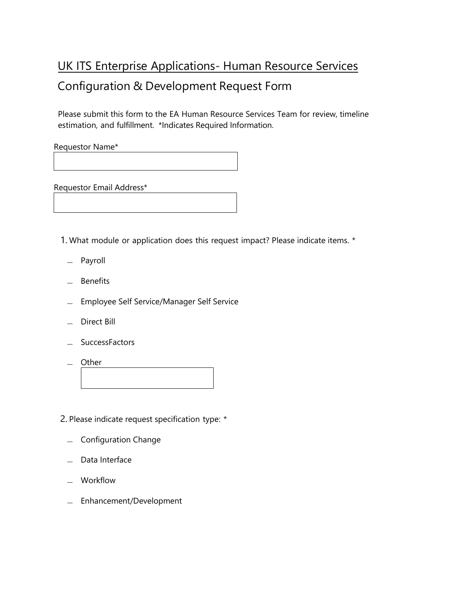## UK ITS Enterprise Applications- Human Resource Services Configuration & Development Request Form

Please submit this form to the EA Human Resource Services Team for review, timeline estimation, and fulfillment. \*Indicates Required Information.

Requestor Name\*

Requestor Email Address\*

1. What module or application does this request impact? Please indicate items. \*

- ̶ Payroll
- ̶ Benefits
- ̶ Employee Self Service/Manager Self Service
- ̶ Direct Bill
- ̶ SuccessFactors
- ̶ Other

2. Please indicate request specification type: \*

- ̶ Configuration Change
- ̶ Data Interface
- ̶ Workflow
- ̶ Enhancement/Development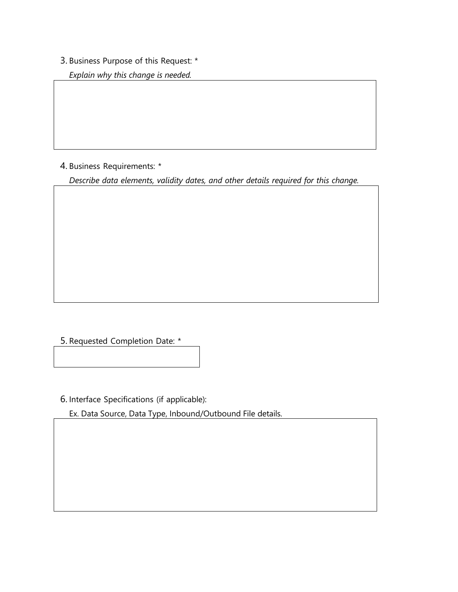## 3. Business Purpose of this Request: \*

*Explain why this change is needed.*

4. Business Requirements: \*

*Describe data elements, validity dates, and other details required for this change.*

5. Requested Completion Date: \*

6. Interface Specifications (if applicable):

Ex. Data Source, Data Type, Inbound/Outbound File details.